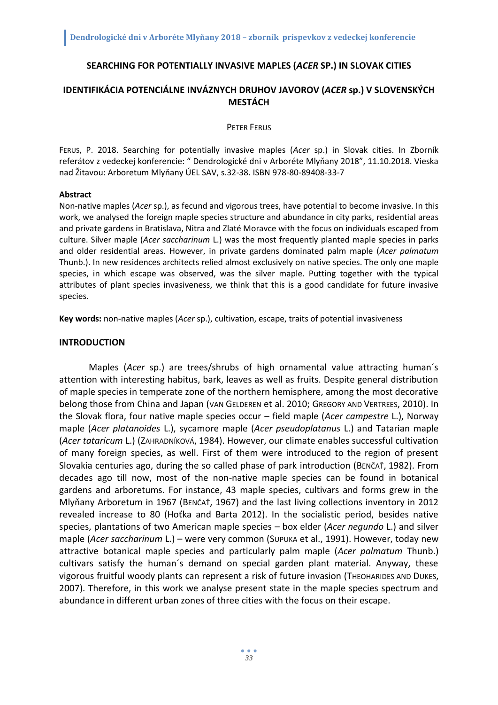### **SEARCHING FOR POTENTIALLY INVASIVE MAPLES (***ACER* **SP.) IN SLOVAK CITIES**

## **IDENTIFIKÁCIA POTENCIÁLNE INVÁZNYCH DRUHOV JAVOROV (***ACER* **sp.) V SLOVENSKÝCH MESTÁCH**

PETER FERUS

FERUS, P. 2018. Searching for potentially invasive maples (*Acer* sp.) in Slovak cities. In Zborník referátov z vedeckej konferencie: " Dendrologické dni v Arboréte Mlyňany 2018", 11.10.2018. Vieska nad Žitavou: Arboretum Mlyňany ÚEL SAV, s.32-38. ISBN 978-80-89408-33-7

#### **Abstract**

Non-native maples (*Acer* sp.), as fecund and vigorous trees, have potential to become invasive. In this work, we analysed the foreign maple species structure and abundance in city parks, residential areas and private gardens in Bratislava, Nitra and Zlaté Moravce with the focus on individuals escaped from culture. Silver maple (*Acer saccharinum* L.) was the most frequently planted maple species in parks and older residential areas. However, in private gardens dominated palm maple (*Acer palmatum* Thunb.). In new residences architects relied almost exclusively on native species. The only one maple species, in which escape was observed, was the silver maple. Putting together with the typical attributes of plant species invasiveness, we think that this is a good candidate for future invasive species.

**Key words:** non-native maples (*Acer* sp.), cultivation, escape, traits of potential invasiveness

#### **INTRODUCTION**

Maples (*Acer* sp.) are trees/shrubs of high ornamental value attracting human´s attention with interesting habitus, bark, leaves as well as fruits. Despite general distribution of maple species in temperate zone of the northern hemisphere, among the most decorative belong those from China and Japan (VAN GELDEREN et al. 2010; GREGORY AND VERTREES, 2010). In the Slovak flora, four native maple species occur – field maple (*Acer campestre* L.), Norway maple (*Acer platanoides* L.), sycamore maple (*Acer pseudoplatanus* L.) and Tatarian maple (*Acer tataricum* L.) (ZAHRADNÍKOVÁ, 1984). However, our climate enables successful cultivation of many foreign species, as well. First of them were introduced to the region of present Slovakia centuries ago, during the so called phase of park introduction (BENČAŤ, 1982). From decades ago till now, most of the non-native maple species can be found in botanical gardens and arboretums. For instance, 43 maple species, cultivars and forms grew in the Mlyňany Arboretum in 1967 (BENČAŤ, 1967) and the last living collections inventory in 2012 revealed increase to 80 (Hoťka and Barta 2012). In the socialistic period, besides native species, plantations of two American maple species – box elder (*Acer negundo* L.) and silver maple (*Acer saccharinum* L.) – were very common (SUPUKA et al., 1991). However, today new attractive botanical maple species and particularly palm maple (*Acer palmatum* Thunb.) cultivars satisfy the human´s demand on special garden plant material. Anyway, these vigorous fruitful woody plants can represent a risk of future invasion (THEOHARIDES AND DUKES, 2007). Therefore, in this work we analyse present state in the maple species spectrum and abundance in different urban zones of three cities with the focus on their escape.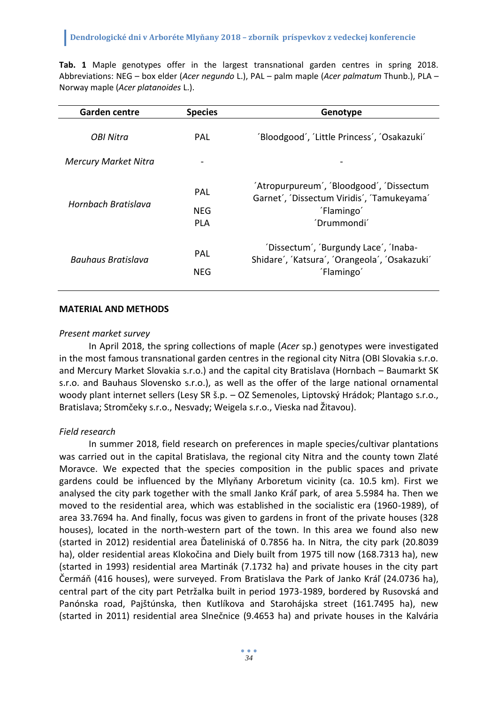**Tab. 1** Maple genotypes offer in the largest transnational garden centres in spring 2018. Abbreviations: NEG – box elder (*Acer negundo* L.), PAL – palm maple (*Acer palmatum* Thunb.), PLA – Norway maple (*Acer platanoides* L.).

| <b>Garden centre</b>        | <b>Species</b>           | Genotype                                                                                                            |  |
|-----------------------------|--------------------------|---------------------------------------------------------------------------------------------------------------------|--|
| OBI Nitra                   | PAL                      | 'Bloodgood', 'Little Princess', 'Osakazuki'                                                                         |  |
| <b>Mercury Market Nitra</b> |                          |                                                                                                                     |  |
| Hornbach Bratislava         | PAL<br>NFG<br><b>PLA</b> | 'Atropurpureum', 'Bloodgood', 'Dissectum<br>Garnet', 'Dissectum Viridis', 'Tamukeyama'<br>'Flamingo'<br>'Drummondi' |  |
| Bauhaus Bratislava          | PAL<br><b>NEG</b>        | 'Dissectum', 'Burgundy Lace', 'Inaba-<br>Shidare', 'Katsura', 'Orangeola', 'Osakazuki'<br>'Flamingo'                |  |

### **MATERIAL AND METHODS**

### *Present market survey*

In April 2018, the spring collections of maple (*Acer* sp.) genotypes were investigated in the most famous transnational garden centres in the regional city Nitra (OBI Slovakia s.r.o. and Mercury Market Slovakia s.r.o.) and the capital city Bratislava (Hornbach – Baumarkt SK s.r.o. and Bauhaus Slovensko s.r.o.), as well as the offer of the large national ornamental woody plant internet sellers (Lesy SR š.p. – OZ Semenoles, Liptovský Hrádok; Plantago s.r.o., Bratislava; Stromčeky s.r.o., Nesvady; Weigela s.r.o., Vieska nad Žitavou).

## *Field research*

In summer 2018, field research on preferences in maple species/cultivar plantations was carried out in the capital Bratislava, the regional city Nitra and the county town Zlaté Moravce. We expected that the species composition in the public spaces and private gardens could be influenced by the Mlyňany Arboretum vicinity (ca. 10.5 km). First we analysed the city park together with the small Janko Kráľ park, of area 5.5984 ha. Then we moved to the residential area, which was established in the socialistic era (1960-1989), of area 33.7694 ha. And finally, focus was given to gardens in front of the private houses (328 houses), located in the north-western part of the town. In this area we found also new (started in 2012) residential area Ďateliniská of 0.7856 ha. In Nitra, the city park (20.8039 ha), older residential areas Klokočina and Diely built from 1975 till now (168.7313 ha), new (started in 1993) residential area Martinák (7.1732 ha) and private houses in the city part Čermáň (416 houses), were surveyed. From Bratislava the Park of Janko Kráľ (24.0736 ha), central part of the city part Petržalka built in period 1973-1989, bordered by Rusovská and Panónska road, Pajštúnska, then Kutlíkova and Starohájska street (161.7495 ha), new (started in 2011) residential area Slnečnice (9.4653 ha) and private houses in the Kalvária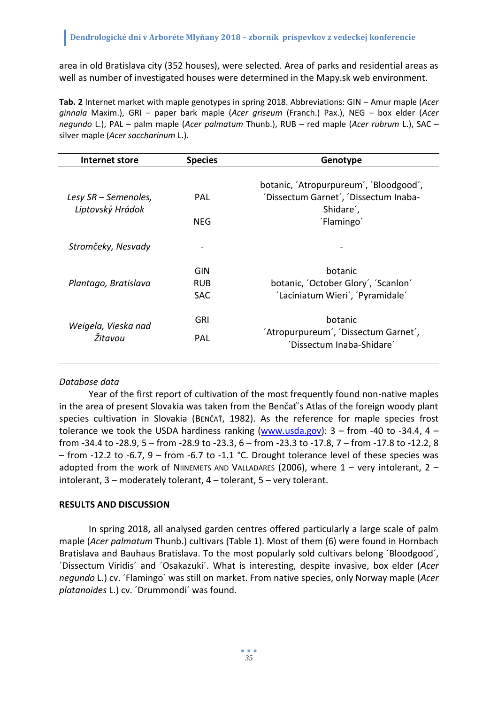area in old Bratislava city (352 houses), were selected. Area of parks and residential areas as well as number of investigated houses were determined in the Mapy.sk web environment.

**Tab. 2** Internet market with maple genotypes in spring 2018. Abbreviations: GIN – Amur maple (*Acer ginnala* Maxim.), GRI – paper bark maple (*Acer griseum* (Franch.) Pax.), NEG – box elder (*Acer negundo* L.), PAL – palm maple (*Acer palmatum* Thunb.), RUB – red maple (*Acer rubrum* L.), SAC – silver maple (*Acer saccharinum* L.).

| Internet store                 | <b>Species</b>                         | Genotype                                                                           |  |  |
|--------------------------------|----------------------------------------|------------------------------------------------------------------------------------|--|--|
| Lesy SR – Semenoles,           | <b>PAL</b>                             | botanic, 'Atropurpureum', 'Bloodgood',<br>'Dissectum Garnet', 'Dissectum Inaba-    |  |  |
| Liptovský Hrádok               | <b>NEG</b>                             | Shidare',<br>'Flamingo'                                                            |  |  |
| Stromčeky, Nesvady             |                                        |                                                                                    |  |  |
| Plantago, Bratislava           | <b>GIN</b><br><b>RUB</b><br><b>SAC</b> | botanic<br>botanic, 'October Glory', 'Scanlon'<br>'Laciniatum Wieri', 'Pyramidale' |  |  |
| Weigela, Vieska nad<br>Žitavou | <b>GRI</b><br>PAL                      | botanic<br>'Atropurpureum', 'Dissectum Garnet',<br>'Dissectum Inaba-Shidare'       |  |  |

## *Database data*

Year of the first report of cultivation of the most frequently found non-native maples in the area of present Slovakia was taken from the Benčať´s Atlas of the foreign woody plant species cultivation in Slovakia (BENČAŤ, 1982). As the reference for maple species frost tolerance we took the USDA hardiness ranking  $(www.usda.gov)$ : 3 – from -40 to -34.4, 4 – from -34.4 to -28.9, 5 – from -28.9 to -23.3, 6 – from -23.3 to -17.8, 7 – from -17.8 to -12.2, 8  $-$  from -12.2 to -6.7, 9 – from -6.7 to -1.1 °C. Drought tolerance level of these species was adopted from the work of NIINEMETS AND VALLADARES (2006), where  $1 -$  very intolerant,  $2$ intolerant, 3 – moderately tolerant, 4 – tolerant, 5 – very tolerant.

## **RESULTS AND DISCUSSION**

In spring 2018, all analysed garden centres offered particularly a large scale of palm maple (*Acer palmatum* Thunb.) cultivars (Table 1). Most of them (6) were found in Hornbach Bratislava and Bauhaus Bratislava. To the most popularly sold cultivars belong ´Bloodgood´, ´Dissectum Viridis´ and ´Osakazuki´. What is interesting, despite invasive, box elder (*Acer negundo* L.) cv. ´Flamingo´ was still on market. From native species, only Norway maple (*Acer platanoides* L.) cv. ´Drummondi´ was found.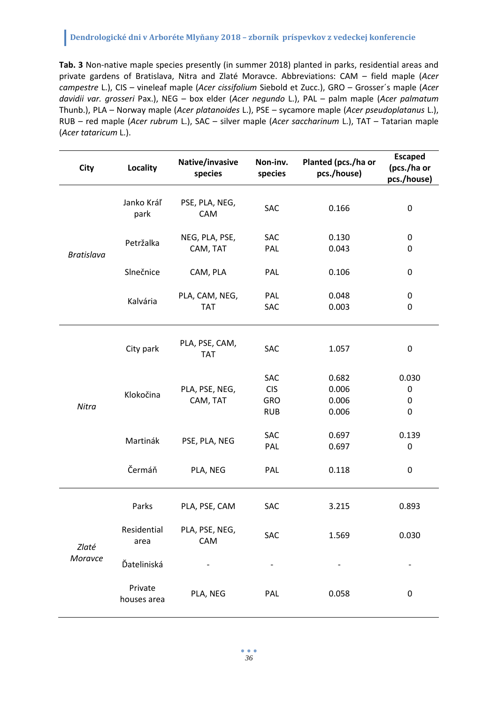# **Dendrologické dni v Arboréte Mlyňany 2018 – zborník príspevkov z vedeckej konferencie**

**Tab. 3** Non-native maple species presently (in summer 2018) planted in parks, residential areas and private gardens of Bratislava, Nitra and Zlaté Moravce. Abbreviations: CAM – field maple (*Acer campestre* L.), CIS – vineleaf maple (*Acer cissifolium* Siebold et Zucc.), GRO – Grosser´s maple (*Acer davidii var. grosseri* Pax.), NEG – box elder (*Acer negundo* L.), PAL – palm maple (*Acer palmatum* Thunb.), PLA – Norway maple (*Acer platanoides* L.), PSE – sycamore maple (*Acer pseudoplatanus* L.), RUB – red maple (*Acer rubrum* L.), SAC – silver maple (*Acer saccharinum* L.), TAT – Tatarian maple (*Acer tataricum* L.).

| <b>City</b>       | Locality               | Native/invasive<br>species   | Non-inv.<br>species                    | Planted (pcs./ha or<br>pcs./house) | <b>Escaped</b><br>(pcs./ha or<br>pcs./house) |
|-------------------|------------------------|------------------------------|----------------------------------------|------------------------------------|----------------------------------------------|
| <b>Bratislava</b> | Janko Kráľ<br>park     | PSE, PLA, NEG,<br>CAM        | SAC                                    | 0.166                              | 0                                            |
|                   | Petržalka              | NEG, PLA, PSE,<br>CAM, TAT   | SAC<br>PAL                             | 0.130<br>0.043                     | $\boldsymbol{0}$<br>0                        |
|                   | Slnečnice              | CAM, PLA                     | PAL                                    | 0.106                              | 0                                            |
|                   | Kalvária               | PLA, CAM, NEG,<br><b>TAT</b> | PAL<br>SAC                             | 0.048<br>0.003                     | $\pmb{0}$<br>0                               |
| Nitra             | City park              | PLA, PSE, CAM,<br><b>TAT</b> | SAC                                    | 1.057                              | 0                                            |
|                   | Klokočina              | PLA, PSE, NEG,<br>CAM, TAT   | SAC<br><b>CIS</b><br>GRO<br><b>RUB</b> | 0.682<br>0.006<br>0.006<br>0.006   | 0.030<br>$\mathbf 0$<br>0<br>0               |
|                   | Martinák               | PSE, PLA, NEG                | SAC<br>PAL                             | 0.697<br>0.697                     | 0.139<br>0                                   |
|                   | Čermáň                 | PLA, NEG                     | PAL                                    | 0.118                              | 0                                            |
| Zlaté<br>Moravce  | Parks                  | PLA, PSE, CAM                | SAC                                    | 3.215                              | 0.893                                        |
|                   | Residential<br>area    | PLA, PSE, NEG,<br>CAM        | SAC                                    | 1.569                              | 0.030                                        |
|                   | Ďateliniská            |                              |                                        |                                    |                                              |
|                   | Private<br>houses area | PLA, NEG                     | PAL                                    | 0.058                              | 0                                            |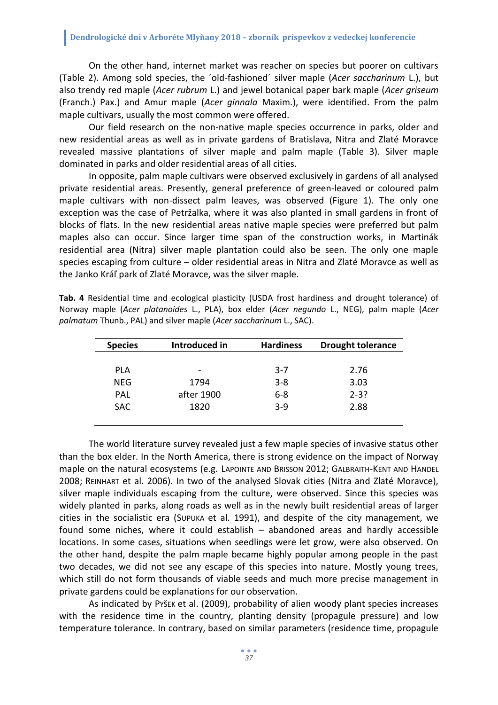On the other hand, internet market was reacher on species but poorer on cultivars (Table 2). Among sold species, the ´old-fashioned´ silver maple (*Acer saccharinum* L.), but also trendy red maple (*Acer rubrum* L.) and jewel botanical paper bark maple (*Acer griseum* (Franch.) Pax.) and Amur maple (*Acer ginnala* Maxim.), were identified. From the palm maple cultivars, usually the most common were offered.

Our field research on the non-native maple species occurrence in parks, older and new residential areas as well as in private gardens of Bratislava, Nitra and Zlaté Moravce revealed massive plantations of silver maple and palm maple (Table 3). Silver maple dominated in parks and older residential areas of all cities.

In opposite, palm maple cultivars were observed exclusively in gardens of all analysed private residential areas. Presently, general preference of green-leaved or coloured palm maple cultivars with non-dissect palm leaves, was observed (Figure 1). The only one exception was the case of Petržalka, where it was also planted in small gardens in front of blocks of flats. In the new residential areas native maple species were preferred but palm maples also can occur. Since larger time span of the construction works, in Martinák residential area (Nitra) silver maple plantation could also be seen. The only one maple species escaping from culture – older residential areas in Nitra and Zlaté Moravce as well as the Janko Kráľ park of Zlaté Moravce, was the silver maple.

| Tab. 4 Residential time and ecological plasticity (USDA frost hardiness and drought tolerance) of |  |  |  |  |  |
|---------------------------------------------------------------------------------------------------|--|--|--|--|--|
| Norway maple (Acer platanoides L., PLA), box elder (Acer negundo L., NEG), palm maple (Acer       |  |  |  |  |  |
| palmatum Thunb., PAL) and silver maple (Acer saccharinum L., SAC).                                |  |  |  |  |  |

| <b>Species</b> | Introduced in            | <b>Hardiness</b> | <b>Drought tolerance</b> |
|----------------|--------------------------|------------------|--------------------------|
|                |                          |                  |                          |
| PLA            | $\overline{\phantom{0}}$ | $3 - 7$          | 2.76                     |
| <b>NEG</b>     | 1794                     | $3 - 8$          | 3.03                     |
| PAL            | after 1900               | $6 - 8$          | $2 - 3?$                 |
| <b>SAC</b>     | 1820                     | $3-9$            | 2.88                     |
|                |                          |                  |                          |

The world literature survey revealed just a few maple species of invasive status other than the box elder. In the North America, there is strong evidence on the impact of Norway maple on the natural ecosystems (e.g. LAPOINTE AND BRISSON 2012; GALBRAITH-KENT AND HANDEL 2008; REINHART et al. 2006). In two of the analysed Slovak cities (Nitra and Zlaté Moravce), silver maple individuals escaping from the culture, were observed. Since this species was widely planted in parks, along roads as well as in the newly built residential areas of larger cities in the socialistic era (SUPUKA et al. 1991), and despite of the city management, we found some niches, where it could establish – abandoned areas and hardly accessible locations. In some cases, situations when seedlings were let grow, were also observed. On the other hand, despite the palm maple became highly popular among people in the past two decades, we did not see any escape of this species into nature. Mostly young trees, which still do not form thousands of viable seeds and much more precise management in private gardens could be explanations for our observation.

As indicated by PYŠEK et al. (2009), probability of alien woody plant species increases with the residence time in the country, planting density (propagule pressure) and low temperature tolerance. In contrary, based on similar parameters (residence time, propagule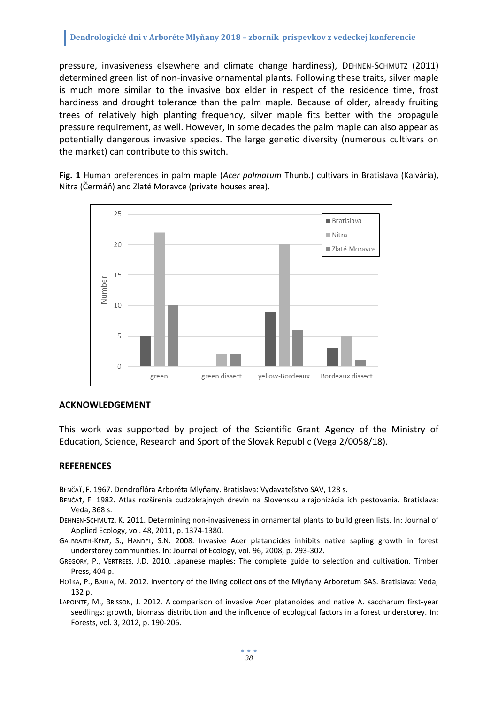pressure, invasiveness elsewhere and climate change hardiness), DEHNEN-SCHMUTZ (2011) determined green list of non-invasive ornamental plants. Following these traits, silver maple is much more similar to the invasive box elder in respect of the residence time, frost hardiness and drought tolerance than the palm maple. Because of older, already fruiting trees of relatively high planting frequency, silver maple fits better with the propagule pressure requirement, as well. However, in some decades the palm maple can also appear as potentially dangerous invasive species. The large genetic diversity (numerous cultivars on the market) can contribute to this switch.

**Fig. 1** Human preferences in palm maple (*Acer palmatum* Thunb.) cultivars in Bratislava (Kalvária), Nitra (Čermáň) and Zlaté Moravce (private houses area).



## **ACKNOWLEDGEMENT**

This work was supported by project of the Scientific Grant Agency of the Ministry of Education, Science, Research and Sport of the Slovak Republic (Vega 2/0058/18).

#### **REFERENCES**

BENČAŤ, F. 1967. Dendroflóra Arboréta Mlyňany. Bratislava: Vydavateľstvo SAV, 128 s.

- BENČAŤ, F. 1982. Atlas rozšírenia cudzokrajných drevín na Slovensku a rajonizácia ich pestovania. Bratislava: Veda, 368 s.
- DEHNEN-SCHMUTZ, K. 2011. Determining non-invasiveness in ornamental plants to build green lists. In: Journal of Applied Ecology, vol. 48, 2011, p. 1374-1380.
- GALBRAITH-KENT, S., HANDEL, S.N. 2008. Invasive Acer platanoides inhibits native sapling growth in forest understorey communities. In: Journal of Ecology, vol. 96, 2008, p. 293-302.
- GREGORY, P., VERTREES, J.D. 2010. Japanese maples: The complete guide to selection and cultivation. Timber Press, 404 p.
- HOŤKA, P., BARTA, M. 2012. Inventory of the living collections of the Mlyňany Arboretum SAS. Bratislava: Veda, 132 p.
- LAPOINTE, M., BRISSON, J. 2012. A comparison of invasive Acer platanoides and native A. saccharum first-year seedlings: growth, biomass distribution and the influence of ecological factors in a forest understorey. In: Forests, vol. 3, 2012, p. 190-206.